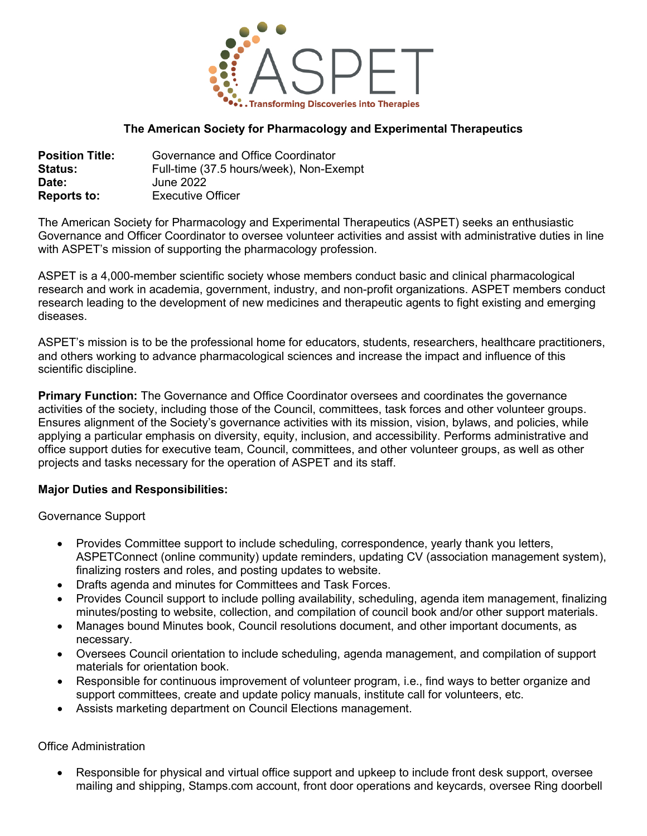

# **The American Society for Pharmacology and Experimental Therapeutics**

| <b>Position Title:</b> | Governance and Office Coordinator       |
|------------------------|-----------------------------------------|
| <b>Status:</b>         | Full-time (37.5 hours/week), Non-Exempt |
| Date:                  | June 2022                               |
| <b>Reports to:</b>     | <b>Executive Officer</b>                |

The American Society for Pharmacology and Experimental Therapeutics (ASPET) seeks an enthusiastic Governance and Officer Coordinator to oversee volunteer activities and assist with administrative duties in line with ASPET's mission of supporting the pharmacology profession.

ASPET is a 4,000-member scientific society whose members conduct basic and clinical pharmacological research and work in academia, government, industry, and non-profit organizations. ASPET members conduct research leading to the development of new medicines and therapeutic agents to fight existing and emerging diseases.

ASPET's mission is to be the professional home for educators, students, researchers, healthcare practitioners, and others working to advance pharmacological sciences and increase the impact and influence of this scientific discipline.

**Primary Function:** The Governance and Office Coordinator oversees and coordinates the governance activities of the society, including those of the Council, committees, task forces and other volunteer groups. Ensures alignment of the Society's governance activities with its mission, vision, bylaws, and policies, while applying a particular emphasis on diversity, equity, inclusion, and accessibility. Performs administrative and office support duties for executive team, Council, committees, and other volunteer groups, as well as other projects and tasks necessary for the operation of ASPET and its staff.

### **Major Duties and Responsibilities:**

Governance Support

- Provides Committee support to include scheduling, correspondence, yearly thank you letters, ASPETConnect (online community) update reminders, updating CV (association management system), finalizing rosters and roles, and posting updates to website.
- Drafts agenda and minutes for Committees and Task Forces.
- Provides Council support to include polling availability, scheduling, agenda item management, finalizing minutes/posting to website, collection, and compilation of council book and/or other support materials.
- Manages bound Minutes book, Council resolutions document, and other important documents, as necessary.
- Oversees Council orientation to include scheduling, agenda management, and compilation of support materials for orientation book.
- Responsible for continuous improvement of volunteer program, i.e., find ways to better organize and support committees, create and update policy manuals, institute call for volunteers, etc.
- Assists marketing department on Council Elections management.

### Office Administration

• Responsible for physical and virtual office support and upkeep to include front desk support, oversee mailing and shipping, Stamps.com account, front door operations and keycards, oversee Ring doorbell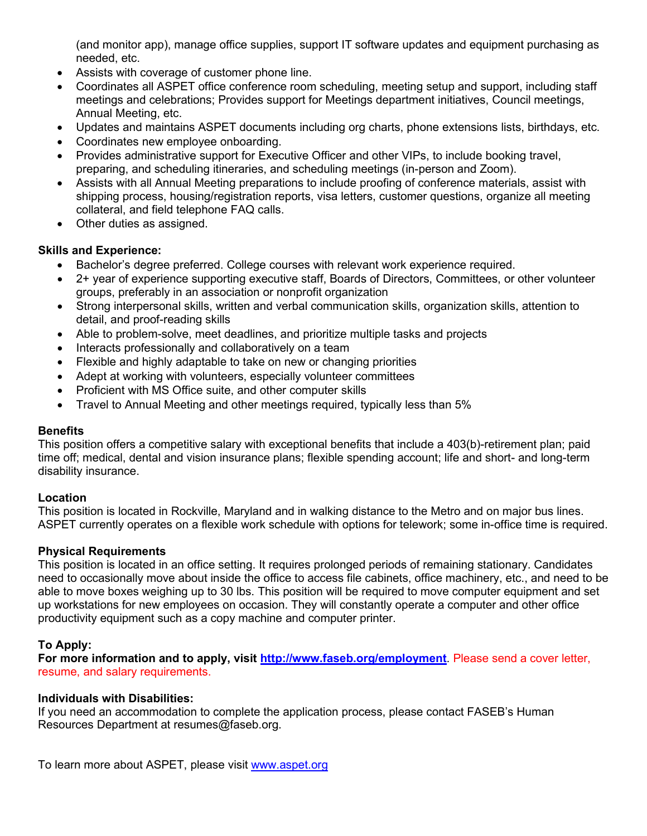(and monitor app), manage office supplies, support IT software updates and equipment purchasing as needed, etc.

- Assists with coverage of customer phone line.
- Coordinates all ASPET office conference room scheduling, meeting setup and support, including staff meetings and celebrations; Provides support for Meetings department initiatives, Council meetings, Annual Meeting, etc.
- Updates and maintains ASPET documents including org charts, phone extensions lists, birthdays, etc.
- Coordinates new employee onboarding.
- Provides administrative support for Executive Officer and other VIPs, to include booking travel, preparing, and scheduling itineraries, and scheduling meetings (in-person and Zoom).
- Assists with all Annual Meeting preparations to include proofing of conference materials, assist with shipping process, housing/registration reports, visa letters, customer questions, organize all meeting collateral, and field telephone FAQ calls.
- Other duties as assigned.

# **Skills and Experience:**

- Bachelor's degree preferred. College courses with relevant work experience required.
- 2+ year of experience supporting executive staff, Boards of Directors, Committees, or other volunteer groups, preferably in an association or nonprofit organization
- Strong interpersonal skills, written and verbal communication skills, organization skills, attention to detail, and proof-reading skills
- Able to problem-solve, meet deadlines, and prioritize multiple tasks and projects
- Interacts professionally and collaboratively on a team
- Flexible and highly adaptable to take on new or changing priorities
- Adept at working with volunteers, especially volunteer committees
- Proficient with MS Office suite, and other computer skills
- Travel to Annual Meeting and other meetings required, typically less than 5%

### **Benefits**

This position offers a competitive salary with exceptional benefits that include a 403(b)-retirement plan; paid time off; medical, dental and vision insurance plans; flexible spending account; life and short- and long-term disability insurance.

### **Location**

This position is located in Rockville, Maryland and in walking distance to the Metro and on major bus lines. ASPET currently operates on a flexible work schedule with options for telework; some in-office time is required.

### **Physical Requirements**

This position is located in an office setting. It requires prolonged periods of remaining stationary. Candidates need to occasionally move about inside the office to access file cabinets, office machinery, etc., and need to be able to move boxes weighing up to 30 lbs. This position will be required to move computer equipment and set up workstations for new employees on occasion. They will constantly operate a computer and other office productivity equipment such as a copy machine and computer printer.

# **To Apply:**

**For more information and to apply, visit<http://www.faseb.org/employment>**. Please send a cover letter, resume, and salary requirements.

### **Individuals with Disabilities:**

If you need an accommodation to complete the application process, please contact FASEB's Human Resources Department at resumes@faseb.org.

To learn more about ASPET, please visit [www.aspet.org](http://www.aspet.org/)